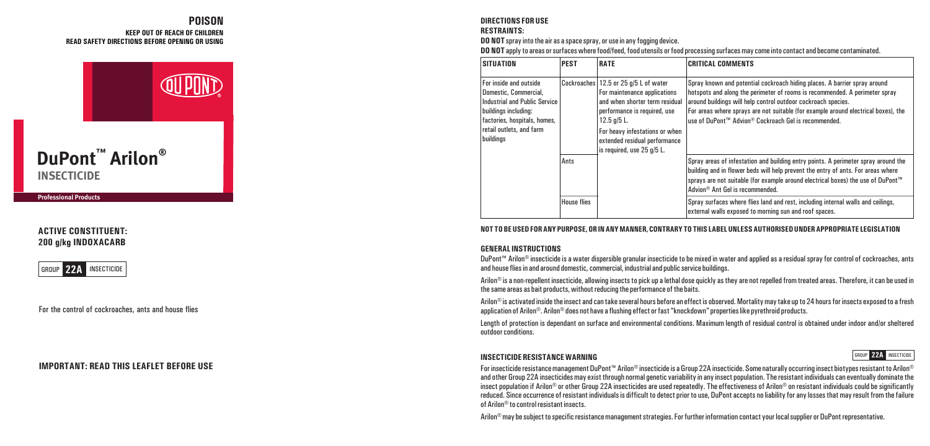### **KEEP OUT OF REACH OF CHILDREN READ SAFETY DIRECTIONS BEFORE OPENING OR USING POISON**



**Professional Products** 

# **ACTIVE CONSTITUENT: 200 g/kg INDOXACARB**



For the control of cockroaches, ants and house flies

# **IMPORTANT: READ THIS LEAFLET BEFORE USE**

### **DIRECTIONS FOR USE RESTRAINTS:**

**DO NOT** spray into the air as a space spray, or use in any fogging device.

**DO NOT** apply to areas or surfaces where food/feed, food utensils or food processing surfaces may come into contact and become contaminated.

| <b>SITUATION</b>                                                                                                                                                                  | <b>PEST</b>        | <b>RATE</b>                                                                                                                                                                                                                                               | <b>CRITICAL COMMENTS</b>                                                                                                                                                                                                                                                                                                                                                |
|-----------------------------------------------------------------------------------------------------------------------------------------------------------------------------------|--------------------|-----------------------------------------------------------------------------------------------------------------------------------------------------------------------------------------------------------------------------------------------------------|-------------------------------------------------------------------------------------------------------------------------------------------------------------------------------------------------------------------------------------------------------------------------------------------------------------------------------------------------------------------------|
| For inside and outside<br>Domestic, Commercial,<br>Industrial and Public Service<br>buildings including:<br>factories, hospitals, homes,<br>retail outlets, and farm<br>buildings |                    | Cockroaches 12.5 or 25 g/5 L of water<br>For maintenance applications<br>and when shorter term residual<br>performance is required, use<br>$12.5$ g/5 L.<br>For heavy infestations or when<br>extended residual performance<br>is required, use 25 g/5 L. | Spray known and potential cockroach hiding places. A barrier spray around<br>hotspots and along the perimeter of rooms is recommended. A perimeter spray<br>around buildings will help control outdoor cockroach species.<br>For areas where sprays are not suitable (for example around electrical boxes), the<br>use of DuPont™ Advion® Cockroach Gel is recommended. |
|                                                                                                                                                                                   | Ants               |                                                                                                                                                                                                                                                           | Spray areas of infestation and building entry points. A perimeter spray around the<br>building and in flower beds will help prevent the entry of ants. For areas where<br>sprays are not suitable (for example around electrical boxes) the use of DuPont™<br>Advion <sup>®</sup> Ant Gel is recommended.                                                               |
|                                                                                                                                                                                   | <b>House flies</b> |                                                                                                                                                                                                                                                           | Spray surfaces where flies land and rest, including internal walls and ceilings,<br>external walls exposed to morning sun and roof spaces.                                                                                                                                                                                                                              |

#### **NOT TO BE USED FOR ANY PURPOSE, OR IN ANY MANNER, CONTRARY TO THIS LABEL UNLESS AUTHORISED UNDER APPROPRIATE LEGISLATION**

### **GENERAL INSTRUCTIONS**

DuPont™ Arilon® insecticide is a water dispersible granular insecticide to be mixed in water and applied as a residual spray for control of cockroaches, ants and house flies in and around domestic, commercial, industrial and public service buildings.

Arilon<sup>®</sup> is a non-repellent insecticide, allowing insects to pick up a lethal dose quickly as they are not repelled from treated areas. Therefore, it can be used in the same areas as bait products, without reducing the performance of the baits.

Arilon® is activated inside the insect and can take several hours before an effect is observed. Mortality may take up to 24 hours for insects exposed to a fresh application of Arilon®. Arilon® does not have a flushing effect or fast "knockdown" properties like pyrethroid products.

Length of protection is dependant on surface and environmental conditions. Maximum length of residual control is obtained under indoor and/or sheltered outdoor conditions.

#### **INSECTICIDE RESISTANCE WARNING**

For insecticide resistance management DuPont™ Arilon® insecticide is a Group 22A insecticide. Some naturally occurring insect biotypes resistant to Arilon® and other Group 22A insecticides may exist through normal genetic variability in any insect population. The resistant individuals can eventually dominate the insect population if Arilon® or other Group 22A insecticides are used repeatedly. The effectiveness of Arilon® on resistant individuals could be significantly reduced. Since occurrence of resistant individuals is difficult to detect prior to use, DuPont accepts no liability for any losses that may result from the failure of Arilon® to control resistant insects.

GROUP **22A** INSECTICIDE

Arilon® may be subject to specific resistance management strategies. For further information contact your local supplier or DuPont representative.